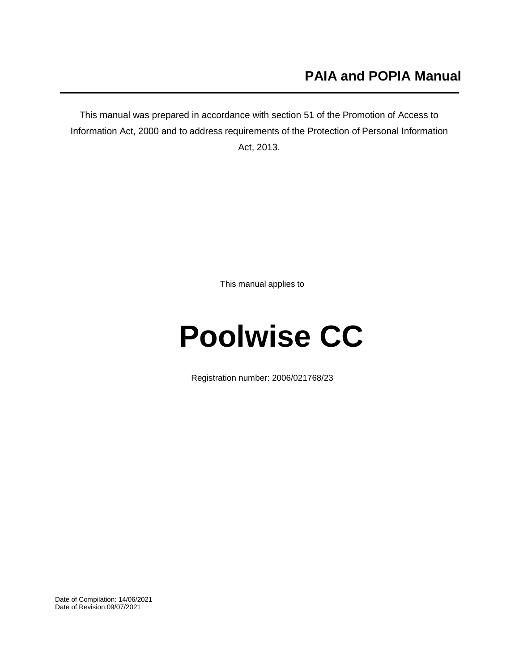## **PAIA and POPIA Manual**

This manual was prepared in accordance with section 51 of the Promotion of Access to Information Act, 2000 and to address requirements of the Protection of Personal Information Act, 2013.

This manual applies to

# **Poolwise CC**

Registration number: 2006/021768/23

Date of Compilation: 14/06/2021 Date of Revision:09/07/2021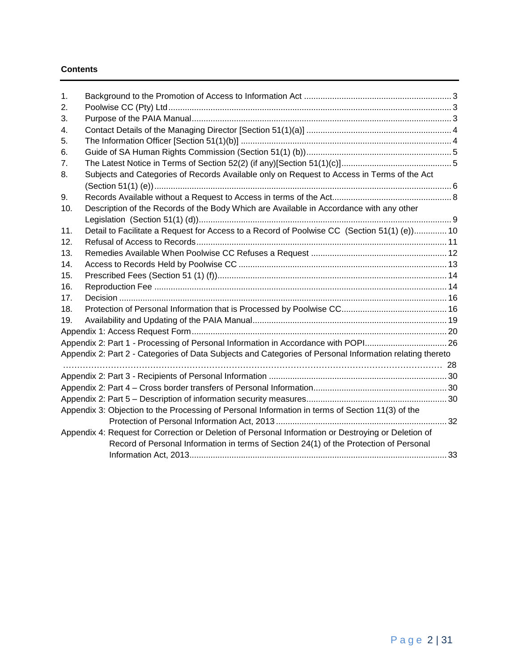#### **Contents**

| $\mathbf 1$ .  |                                                                                                          |  |
|----------------|----------------------------------------------------------------------------------------------------------|--|
| 2.             |                                                                                                          |  |
| 3.             |                                                                                                          |  |
| 4.             |                                                                                                          |  |
| 5.             |                                                                                                          |  |
| 6.             |                                                                                                          |  |
| 7 <sub>1</sub> |                                                                                                          |  |
| 8.             | Subjects and Categories of Records Available only on Request to Access in Terms of the Act               |  |
|                |                                                                                                          |  |
| 9.             |                                                                                                          |  |
| 10.            | Description of the Records of the Body Which are Available in Accordance with any other                  |  |
|                |                                                                                                          |  |
| 11.            | Detail to Facilitate a Request for Access to a Record of Poolwise CC (Section 51(1) (e)) 10              |  |
| 12.            |                                                                                                          |  |
| 13.            |                                                                                                          |  |
| 14.            |                                                                                                          |  |
| 15.            |                                                                                                          |  |
| 16.            |                                                                                                          |  |
| 17.            |                                                                                                          |  |
| 18.            |                                                                                                          |  |
| 19.            |                                                                                                          |  |
|                |                                                                                                          |  |
|                | Appendix 2: Part 1 - Processing of Personal Information in Accordance with POPI26                        |  |
|                | Appendix 2: Part 2 - Categories of Data Subjects and Categories of Personal Information relating thereto |  |
|                |                                                                                                          |  |
|                |                                                                                                          |  |
|                |                                                                                                          |  |
|                |                                                                                                          |  |
|                | Appendix 3: Objection to the Processing of Personal Information in terms of Section 11(3) of the         |  |
|                |                                                                                                          |  |
|                | Appendix 4: Request for Correction or Deletion of Personal Information or Destroying or Deletion of      |  |
|                | Record of Personal Information in terms of Section 24(1) of the Protection of Personal                   |  |
|                |                                                                                                          |  |
|                |                                                                                                          |  |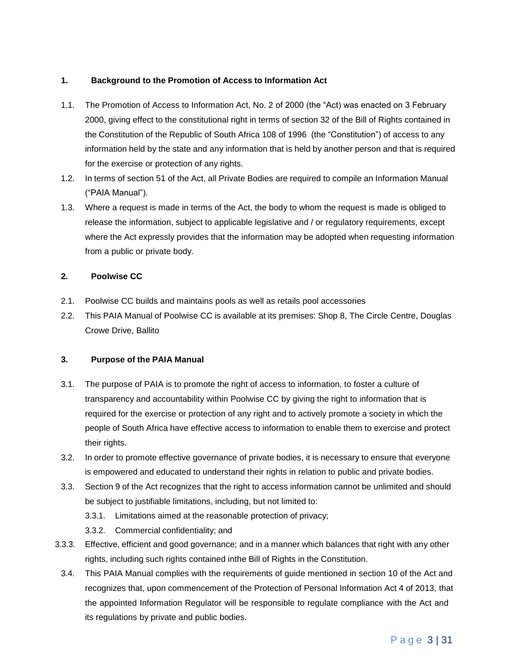#### <span id="page-2-0"></span>**1. Background to the Promotion of Access to Information Act**

- 1.1. The Promotion of Access to Information Act, No. 2 of 2000 (the "Act) was enacted on 3 February 2000, giving effect to the constitutional right in terms of section 32 of the Bill of Rights contained in the Constitution of the Republic of South Africa 108 of 1996 (the "Constitution") of access to any information held by the state and any information that is held by another person and that is required for the exercise or protection of any rights.
- 1.2. In terms of section 51 of the Act, all Private Bodies are required to compile an Information Manual ("PAIA Manual").
- 1.3. Where a request is made in terms of the Act, the body to whom the request is made is obliged to release the information, subject to applicable legislative and / or regulatory requirements, except where the Act expressly provides that the information may be adopted when requesting information from a public or private body.

#### <span id="page-2-1"></span>**2. Poolwise CC**

- 2.1. Poolwise CC builds and maintains pools as well as retails pool accessories
- 2.2. This PAIA Manual of Poolwise CC is available at its premises: Shop 8, The Circle Centre, Douglas Crowe Drive, Ballito

#### <span id="page-2-2"></span>**3. Purpose of the PAIA Manual**

- 3.1. The purpose of PAIA is to promote the right of access to information, to foster a culture of transparency and accountability within Poolwise CC by giving the right to information that is required for the exercise or protection of any right and to actively promote a society in which the people of South Africa have effective access to information to enable them to exercise and protect their rights.
- 3.2. In order to promote effective governance of private bodies, it is necessary to ensure that everyone is empowered and educated to understand their rights in relation to public and private bodies.
- 3.3. Section 9 of the Act recognizes that the right to access information cannot be unlimited and should be subject to justifiable limitations, including, but not limited to:
	- 3.3.1. Limitations aimed at the reasonable protection of privacy;
	- 3.3.2. Commercial confidentiality; and
- 3.3.3. Effective, efficient and good governance; and in a manner which balances that right with any other rights, including such rights contained inthe Bill of Rights in the Constitution.
- 3.4. This PAIA Manual complies with the requirements of guide mentioned in section 10 of the Act and recognizes that, upon commencement of the Protection of Personal Information Act 4 of 2013, that the appointed Information Regulator will be responsible to regulate compliance with the Act and its regulations by private and public bodies.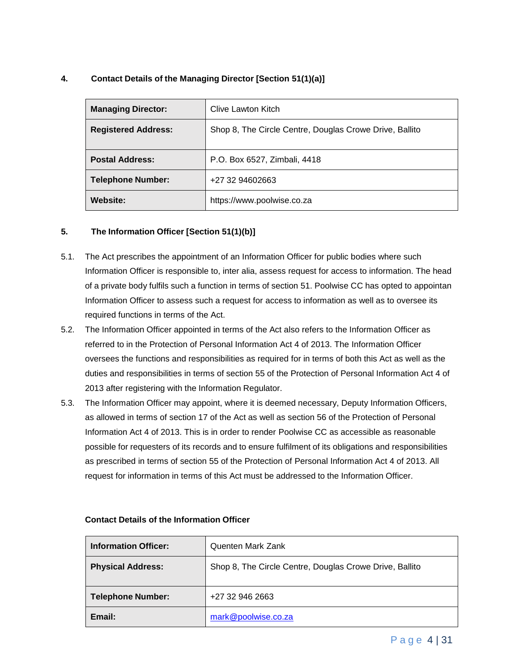#### <span id="page-3-0"></span>**4. Contact Details of the Managing Director [Section 51(1)(a)]**

| <b>Managing Director:</b>  | Clive Lawton Kitch                                      |
|----------------------------|---------------------------------------------------------|
| <b>Registered Address:</b> | Shop 8, The Circle Centre, Douglas Crowe Drive, Ballito |
| <b>Postal Address:</b>     | P.O. Box 6527, Zimbali, 4418                            |
| <b>Telephone Number:</b>   | +27 32 94602663                                         |
| <b>Website:</b>            | https://www.poolwise.co.za                              |

#### <span id="page-3-1"></span>**5. The Information Officer [Section 51(1)(b)]**

- 5.1. The Act prescribes the appointment of an Information Officer for public bodies where such Information Officer is responsible to, inter alia, assess request for access to information. The head of a private body fulfils such a function in terms of section 51. Poolwise CC has opted to appointan Information Officer to assess such a request for access to information as well as to oversee its required functions in terms of the Act.
- 5.2. The Information Officer appointed in terms of the Act also refers to the Information Officer as referred to in the Protection of Personal Information Act 4 of 2013. The Information Officer oversees the functions and responsibilities as required for in terms of both this Act as well as the duties and responsibilities in terms of section 55 of the Protection of Personal Information Act 4 of 2013 after registering with the Information Regulator.
- 5.3. The Information Officer may appoint, where it is deemed necessary, Deputy Information Officers, as allowed in terms of section 17 of the Act as well as section 56 of the Protection of Personal Information Act 4 of 2013. This is in order to render Poolwise CC as accessible as reasonable possible for requesters of its records and to ensure fulfilment of its obligations and responsibilities as prescribed in terms of section 55 of the Protection of Personal Information Act 4 of 2013. All request for information in terms of this Act must be addressed to the Information Officer.

| <b>Information Officer:</b> | Quenten Mark Zank                                       |
|-----------------------------|---------------------------------------------------------|
| <b>Physical Address:</b>    | Shop 8, The Circle Centre, Douglas Crowe Drive, Ballito |
| <b>Telephone Number:</b>    | +27 32 946 2663                                         |
| Email:                      | mark@poolwise.co.za                                     |

#### **Contact Details of the Information Officer**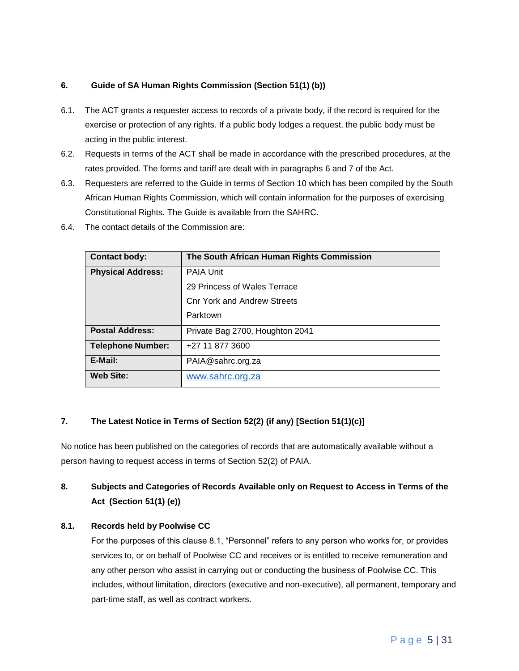#### <span id="page-4-0"></span>**6. Guide of SA Human Rights Commission (Section 51(1) (b))**

- 6.1. The ACT grants a requester access to records of a private body, if the record is required for the exercise or protection of any rights. If a public body lodges a request, the public body must be acting in the public interest.
- 6.2. Requests in terms of the ACT shall be made in accordance with the prescribed procedures, at the rates provided. The forms and tariff are dealt with in paragraphs 6 and 7 of the Act.
- 6.3. Requesters are referred to the Guide in terms of Section 10 which has been compiled by the South African Human Rights Commission, which will contain information for the purposes of exercising Constitutional Rights. The Guide is available from the SAHRC.
- 6.4. The contact details of the Commission are:

| <b>Contact body:</b>     | The South African Human Rights Commission |  |  |  |  |  |  |  |  |  |
|--------------------------|-------------------------------------------|--|--|--|--|--|--|--|--|--|
| <b>Physical Address:</b> | <b>PAIA Unit</b>                          |  |  |  |  |  |  |  |  |  |
|                          | 29 Princess of Wales Terrace              |  |  |  |  |  |  |  |  |  |
|                          | <b>Cnr York and Andrew Streets</b>        |  |  |  |  |  |  |  |  |  |
|                          | Parktown                                  |  |  |  |  |  |  |  |  |  |
| <b>Postal Address:</b>   | Private Bag 2700, Houghton 2041           |  |  |  |  |  |  |  |  |  |
| <b>Telephone Number:</b> | +27 11 877 3600                           |  |  |  |  |  |  |  |  |  |
| E-Mail:                  | PAIA@sahrc.org.za                         |  |  |  |  |  |  |  |  |  |
| <b>Web Site:</b>         | www.sahrc.org.za                          |  |  |  |  |  |  |  |  |  |

#### <span id="page-4-1"></span>**7. The Latest Notice in Terms of Section 52(2) (if any) [Section 51(1)(c)]**

No notice has been published on the categories of records that are automatically available without a person having to request access in terms of Section 52(2) of PAIA.

## <span id="page-4-2"></span>**8. Subjects and Categories of Records Available only on Request to Access in Terms of the Act (Section 51(1) (e))**

#### **8.1. Records held by Poolwise CC**

For the purposes of this clause 8.1, "Personnel" refers to any person who works for, or provides services to, or on behalf of Poolwise CC and receives or is entitled to receive remuneration and any other person who assist in carrying out or conducting the business of Poolwise CC. This includes, without limitation, directors (executive and non-executive), all permanent, temporary and part-time staff, as well as contract workers.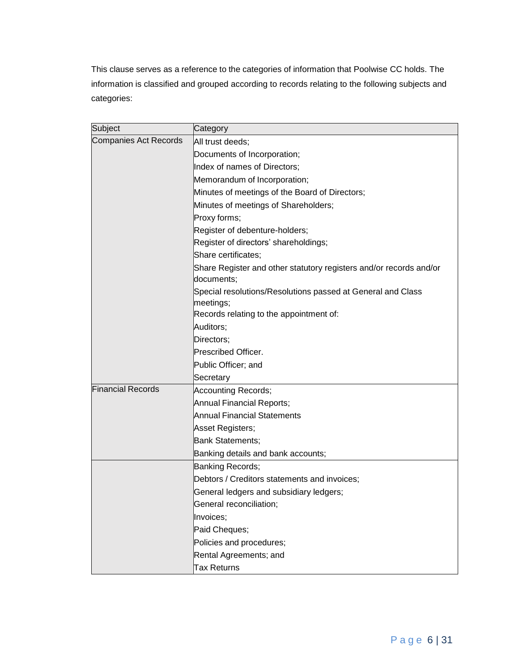This clause serves as a reference to the categories of information that Poolwise CC holds. The information is classified and grouped according to records relating to the following subjects and categories:

| Subject                      | Category                                                                         |  |  |  |  |  |  |  |
|------------------------------|----------------------------------------------------------------------------------|--|--|--|--|--|--|--|
| <b>Companies Act Records</b> | All trust deeds;                                                                 |  |  |  |  |  |  |  |
|                              | Documents of Incorporation;                                                      |  |  |  |  |  |  |  |
|                              | Index of names of Directors;                                                     |  |  |  |  |  |  |  |
|                              | Memorandum of Incorporation;                                                     |  |  |  |  |  |  |  |
|                              | Minutes of meetings of the Board of Directors;                                   |  |  |  |  |  |  |  |
|                              | Minutes of meetings of Shareholders;                                             |  |  |  |  |  |  |  |
|                              | Proxy forms;                                                                     |  |  |  |  |  |  |  |
|                              | Register of debenture-holders;                                                   |  |  |  |  |  |  |  |
|                              | Register of directors' shareholdings;                                            |  |  |  |  |  |  |  |
|                              | Share certificates;                                                              |  |  |  |  |  |  |  |
|                              | Share Register and other statutory registers and/or records and/or<br>documents; |  |  |  |  |  |  |  |
|                              | Special resolutions/Resolutions passed at General and Class<br>meetings;         |  |  |  |  |  |  |  |
|                              | Records relating to the appointment of:                                          |  |  |  |  |  |  |  |
|                              | Auditors;                                                                        |  |  |  |  |  |  |  |
|                              | Directors;                                                                       |  |  |  |  |  |  |  |
|                              | Prescribed Officer.                                                              |  |  |  |  |  |  |  |
|                              | Public Officer; and                                                              |  |  |  |  |  |  |  |
|                              | Secretary                                                                        |  |  |  |  |  |  |  |
| <b>Financial Records</b>     | <b>Accounting Records;</b>                                                       |  |  |  |  |  |  |  |
|                              | Annual Financial Reports;                                                        |  |  |  |  |  |  |  |
|                              | Annual Financial Statements                                                      |  |  |  |  |  |  |  |
|                              | Asset Registers;                                                                 |  |  |  |  |  |  |  |
|                              | <b>Bank Statements;</b>                                                          |  |  |  |  |  |  |  |
|                              | Banking details and bank accounts;                                               |  |  |  |  |  |  |  |
|                              | Banking Records;                                                                 |  |  |  |  |  |  |  |
|                              | Debtors / Creditors statements and invoices;                                     |  |  |  |  |  |  |  |
|                              | General ledgers and subsidiary ledgers;                                          |  |  |  |  |  |  |  |
|                              | General reconciliation;                                                          |  |  |  |  |  |  |  |
|                              | Invoices;                                                                        |  |  |  |  |  |  |  |
|                              | Paid Cheques;                                                                    |  |  |  |  |  |  |  |
|                              | Policies and procedures;                                                         |  |  |  |  |  |  |  |
|                              | Rental Agreements; and                                                           |  |  |  |  |  |  |  |
|                              | <b>Tax Returns</b>                                                               |  |  |  |  |  |  |  |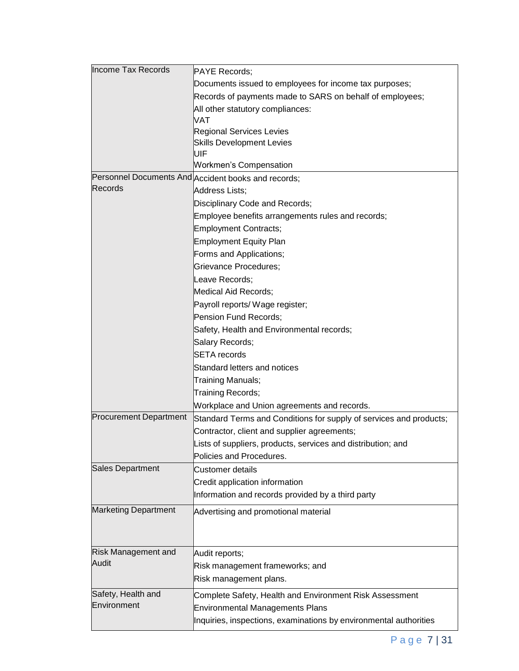| <b>Income Tax Records</b>     | <b>PAYE Records;</b>                                               |  |  |  |  |  |  |  |  |
|-------------------------------|--------------------------------------------------------------------|--|--|--|--|--|--|--|--|
|                               | Documents issued to employees for income tax purposes;             |  |  |  |  |  |  |  |  |
|                               | Records of payments made to SARS on behalf of employees;           |  |  |  |  |  |  |  |  |
|                               | All other statutory compliances:                                   |  |  |  |  |  |  |  |  |
|                               | <b>VAT</b>                                                         |  |  |  |  |  |  |  |  |
|                               | <b>Regional Services Levies</b>                                    |  |  |  |  |  |  |  |  |
|                               | <b>Skills Development Levies</b>                                   |  |  |  |  |  |  |  |  |
|                               | UIF                                                                |  |  |  |  |  |  |  |  |
|                               | Workmen's Compensation                                             |  |  |  |  |  |  |  |  |
| Records                       | Personnel Documents And Accident books and records;                |  |  |  |  |  |  |  |  |
|                               | Address Lists;                                                     |  |  |  |  |  |  |  |  |
|                               | Disciplinary Code and Records;                                     |  |  |  |  |  |  |  |  |
|                               | Employee benefits arrangements rules and records;                  |  |  |  |  |  |  |  |  |
|                               | <b>Employment Contracts;</b>                                       |  |  |  |  |  |  |  |  |
|                               | Employment Equity Plan                                             |  |  |  |  |  |  |  |  |
|                               | Forms and Applications;                                            |  |  |  |  |  |  |  |  |
|                               | Grievance Procedures;                                              |  |  |  |  |  |  |  |  |
|                               | Leave Records;                                                     |  |  |  |  |  |  |  |  |
|                               | Medical Aid Records;                                               |  |  |  |  |  |  |  |  |
|                               | Payroll reports/ Wage register;                                    |  |  |  |  |  |  |  |  |
|                               | Pension Fund Records;                                              |  |  |  |  |  |  |  |  |
|                               | Safety, Health and Environmental records;                          |  |  |  |  |  |  |  |  |
|                               | Salary Records;                                                    |  |  |  |  |  |  |  |  |
|                               | <b>SETA</b> records                                                |  |  |  |  |  |  |  |  |
|                               | Standard letters and notices                                       |  |  |  |  |  |  |  |  |
|                               | Training Manuals;                                                  |  |  |  |  |  |  |  |  |
|                               | Training Records;                                                  |  |  |  |  |  |  |  |  |
|                               | Workplace and Union agreements and records.                        |  |  |  |  |  |  |  |  |
| <b>Procurement Department</b> | Standard Terms and Conditions for supply of services and products; |  |  |  |  |  |  |  |  |
|                               | Contractor, client and supplier agreements;                        |  |  |  |  |  |  |  |  |
|                               | Lists of suppliers, products, services and distribution; and       |  |  |  |  |  |  |  |  |
|                               | Policies and Procedures.                                           |  |  |  |  |  |  |  |  |
| <b>Sales Department</b>       | <b>Customer details</b>                                            |  |  |  |  |  |  |  |  |
|                               | Credit application information                                     |  |  |  |  |  |  |  |  |
|                               | Information and records provided by a third party                  |  |  |  |  |  |  |  |  |
| <b>Marketing Department</b>   | Advertising and promotional material                               |  |  |  |  |  |  |  |  |
|                               |                                                                    |  |  |  |  |  |  |  |  |
|                               |                                                                    |  |  |  |  |  |  |  |  |
|                               |                                                                    |  |  |  |  |  |  |  |  |
| <b>Risk Management and</b>    | Audit reports;                                                     |  |  |  |  |  |  |  |  |
| Audit                         | Risk management frameworks; and                                    |  |  |  |  |  |  |  |  |
|                               | Risk management plans.                                             |  |  |  |  |  |  |  |  |
| Safety, Health and            | Complete Safety, Health and Environment Risk Assessment            |  |  |  |  |  |  |  |  |
| Environment                   | <b>Environmental Managements Plans</b>                             |  |  |  |  |  |  |  |  |
|                               | Inquiries, inspections, examinations by environmental authorities  |  |  |  |  |  |  |  |  |
|                               |                                                                    |  |  |  |  |  |  |  |  |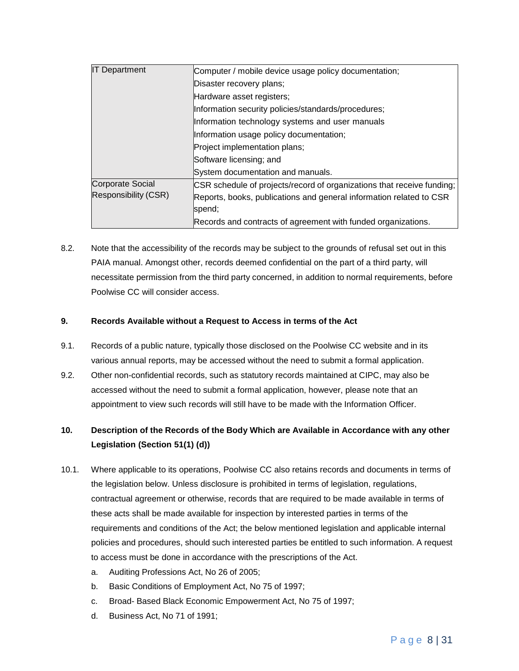| <b>IT Department</b>    | Computer / mobile device usage policy documentation;<br>Disaster recovery plans; |  |  |  |  |  |  |  |
|-------------------------|----------------------------------------------------------------------------------|--|--|--|--|--|--|--|
|                         |                                                                                  |  |  |  |  |  |  |  |
|                         | Hardware asset registers;                                                        |  |  |  |  |  |  |  |
|                         | Information security policies/standards/procedures;                              |  |  |  |  |  |  |  |
|                         | Information technology systems and user manuals                                  |  |  |  |  |  |  |  |
|                         | Information usage policy documentation;                                          |  |  |  |  |  |  |  |
|                         | Project implementation plans;                                                    |  |  |  |  |  |  |  |
|                         | Software licensing; and                                                          |  |  |  |  |  |  |  |
|                         | System documentation and manuals.                                                |  |  |  |  |  |  |  |
| <b>Corporate Social</b> | CSR schedule of projects/record of organizations that receive funding;           |  |  |  |  |  |  |  |
| Responsibility (CSR)    | Reports, books, publications and general information related to CSR              |  |  |  |  |  |  |  |
|                         | spend;                                                                           |  |  |  |  |  |  |  |
|                         | Records and contracts of agreement with funded organizations.                    |  |  |  |  |  |  |  |

8.2. Note that the accessibility of the records may be subject to the grounds of refusal set out in this PAIA manual. Amongst other, records deemed confidential on the part of a third party, will necessitate permission from the third party concerned, in addition to normal requirements, before Poolwise CC will consider access.

#### <span id="page-7-0"></span>**9. Records Available without a Request to Access in terms of the Act**

- 9.1. Records of a public nature, typically those disclosed on the Poolwise CC website and in its various annual reports, may be accessed without the need to submit a formal application.
- 9.2. Other non-confidential records, such as statutory records maintained at CIPC, may also be accessed without the need to submit a formal application, however, please note that an appointment to view such records will still have to be made with the Information Officer.

## <span id="page-7-1"></span>**10. Description of the Records of the Body Which are Available in Accordance with any other Legislation (Section 51(1) (d))**

- 10.1. Where applicable to its operations, Poolwise CC also retains records and documents in terms of the legislation below. Unless disclosure is prohibited in terms of legislation, regulations, contractual agreement or otherwise, records that are required to be made available in terms of these acts shall be made available for inspection by interested parties in terms of the requirements and conditions of the Act; the below mentioned legislation and applicable internal policies and procedures, should such interested parties be entitled to such information. A request to access must be done in accordance with the prescriptions of the Act.
	- a. Auditing Professions Act, No 26 of 2005;
	- b. Basic Conditions of Employment Act, No 75 of 1997;
	- c. Broad- Based Black Economic Empowerment Act, No 75 of 1997;
	- d. Business Act, No 71 of 1991;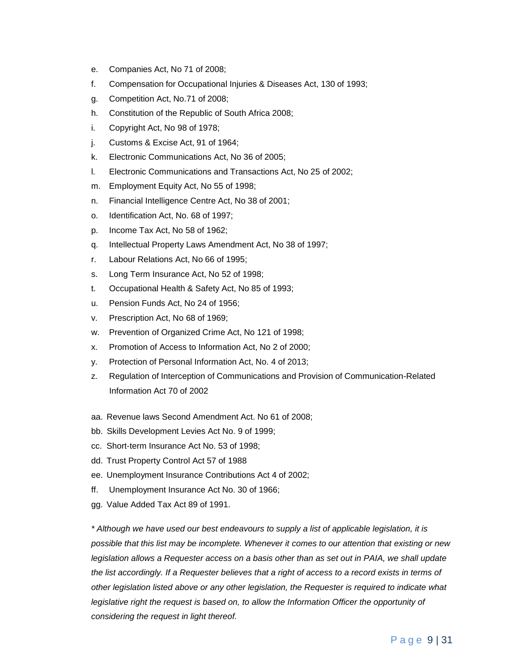- e. Companies Act, No 71 of 2008;
- f. Compensation for Occupational Injuries & Diseases Act, 130 of 1993;
- g. Competition Act, No.71 of 2008;
- h. Constitution of the Republic of South Africa 2008;
- i. Copyright Act, No 98 of 1978;
- j. Customs & Excise Act, 91 of 1964;
- k. Electronic Communications Act, No 36 of 2005;
- l. Electronic Communications and Transactions Act, No 25 of 2002;
- m. Employment Equity Act, No 55 of 1998;
- n. Financial Intelligence Centre Act, No 38 of 2001;
- o. Identification Act, No. 68 of 1997;
- p. Income Tax Act, No 58 of 1962;
- q. Intellectual Property Laws Amendment Act, No 38 of 1997;
- r. Labour Relations Act, No 66 of 1995;
- s. Long Term Insurance Act, No 52 of 1998;
- t. Occupational Health & Safety Act, No 85 of 1993;
- u. Pension Funds Act, No 24 of 1956;
- v. Prescription Act, No 68 of 1969;
- w. Prevention of Organized Crime Act, No 121 of 1998;
- x. Promotion of Access to Information Act, No 2 of 2000;
- y. Protection of Personal Information Act, No. 4 of 2013;
- z. Regulation of Interception of Communications and Provision of Communication-Related Information Act 70 of 2002
- aa. Revenue laws Second Amendment Act. No 61 of 2008;
- bb. Skills Development Levies Act No. 9 of 1999;
- cc. Short-term Insurance Act No. 53 of 1998;
- dd. Trust Property Control Act 57 of 1988
- ee. Unemployment Insurance Contributions Act 4 of 2002;
- ff. Unemployment Insurance Act No. 30 of 1966;
- gg. Value Added Tax Act 89 of 1991.

*\* Although we have used our best endeavours to supply a list of applicable legislation, it is possible that this list may be incomplete. Whenever it comes to our attention that existing or new legislation allows a Requester access on a basis other than as set out in PAIA, we shall update the list accordingly. If a Requester believes that a right of access to a record exists in terms of other legislation listed above or any other legislation, the Requester is required to indicate what legislative right the request is based on, to allow the Information Officer the opportunity of considering the request in light thereof.*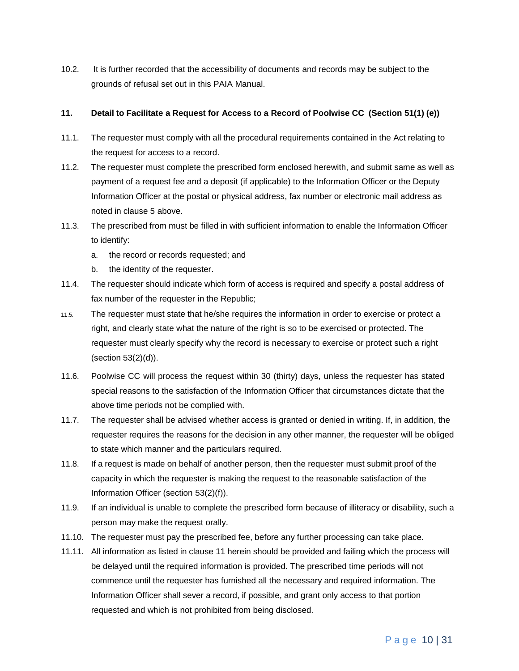10.2. It is further recorded that the accessibility of documents and records may be subject to the grounds of refusal set out in this PAIA Manual.

#### <span id="page-9-0"></span>**11. Detail to Facilitate a Request for Access to a Record of Poolwise CC (Section 51(1) (e))**

- 11.1. The requester must comply with all the procedural requirements contained in the Act relating to the request for access to a record.
- 11.2. The requester must complete the prescribed form enclosed herewith, and submit same as well as payment of a request fee and a deposit (if applicable) to the Information Officer or the Deputy Information Officer at the postal or physical address, fax number or electronic mail address as noted in clause 5 above.
- 11.3. The prescribed from must be filled in with sufficient information to enable the Information Officer to identify:
	- a. the record or records requested; and
	- b. the identity of the requester.
- 11.4. The requester should indicate which form of access is required and specify a postal address of fax number of the requester in the Republic;
- 11.5. The requester must state that he/she requires the information in order to exercise or protect a right, and clearly state what the nature of the right is so to be exercised or protected. The requester must clearly specify why the record is necessary to exercise or protect such a right (section 53(2)(d)).
- 11.6. Poolwise CC will process the request within 30 (thirty) days, unless the requester has stated special reasons to the satisfaction of the Information Officer that circumstances dictate that the above time periods not be complied with.
- 11.7. The requester shall be advised whether access is granted or denied in writing. If, in addition, the requester requires the reasons for the decision in any other manner, the requester will be obliged to state which manner and the particulars required.
- 11.8. If a request is made on behalf of another person, then the requester must submit proof of the capacity in which the requester is making the request to the reasonable satisfaction of the Information Officer (section 53(2)(f)).
- 11.9. If an individual is unable to complete the prescribed form because of illiteracy or disability, such a person may make the request orally.
- 11.10. The requester must pay the prescribed fee, before any further processing can take place.
- 11.11. All information as listed in clause 11 herein should be provided and failing which the process will be delayed until the required information is provided. The prescribed time periods will not commence until the requester has furnished all the necessary and required information. The Information Officer shall sever a record, if possible, and grant only access to that portion requested and which is not prohibited from being disclosed.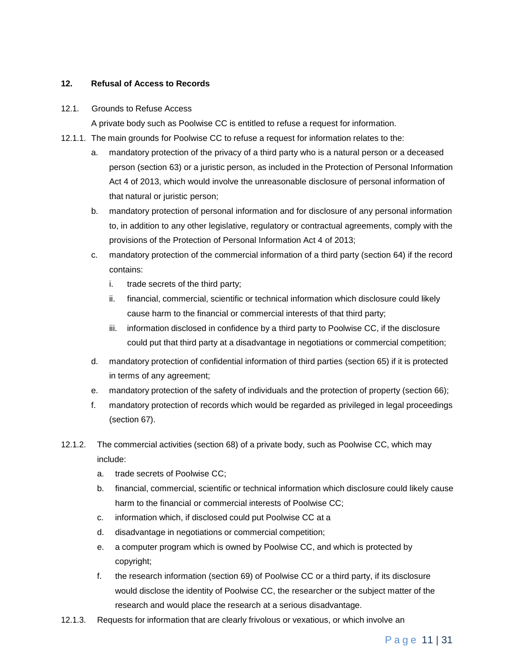#### <span id="page-10-0"></span>**12. Refusal of Access to Records**

#### 12.1. Grounds to Refuse Access

A private body such as Poolwise CC is entitled to refuse a request for information.

- 12.1.1. The main grounds for Poolwise CC to refuse a request for information relates to the:
	- a. mandatory protection of the privacy of a third party who is a natural person or a deceased person (section 63) or a juristic person, as included in the Protection of Personal Information Act 4 of 2013, which would involve the unreasonable disclosure of personal information of that natural or juristic person;
	- b. mandatory protection of personal information and for disclosure of any personal information to, in addition to any other legislative, regulatory or contractual agreements, comply with the provisions of the Protection of Personal Information Act 4 of 2013;
	- c. mandatory protection of the commercial information of a third party (section 64) if the record contains:
		- i. trade secrets of the third party;
		- ii. financial, commercial, scientific or technical information which disclosure could likely cause harm to the financial or commercial interests of that third party;
		- iii. information disclosed in confidence by a third party to Poolwise CC, if the disclosure could put that third party at a disadvantage in negotiations or commercial competition;
	- d. mandatory protection of confidential information of third parties (section 65) if it is protected in terms of any agreement;
	- e. mandatory protection of the safety of individuals and the protection of property (section 66);
	- f. mandatory protection of records which would be regarded as privileged in legal proceedings (section 67).
- 12.1.2. The commercial activities (section 68) of a private body, such as Poolwise CC, which may include:
	- a. trade secrets of Poolwise CC;
	- b. financial, commercial, scientific or technical information which disclosure could likely cause harm to the financial or commercial interests of Poolwise CC;
	- c. information which, if disclosed could put Poolwise CC at a
	- d. disadvantage in negotiations or commercial competition;
	- e. a computer program which is owned by Poolwise CC, and which is protected by copyright;
	- f. the research information (section 69) of Poolwise CC or a third party, if its disclosure would disclose the identity of Poolwise CC, the researcher or the subject matter of the research and would place the research at a serious disadvantage.
- 12.1.3. Requests for information that are clearly frivolous or vexatious, or which involve an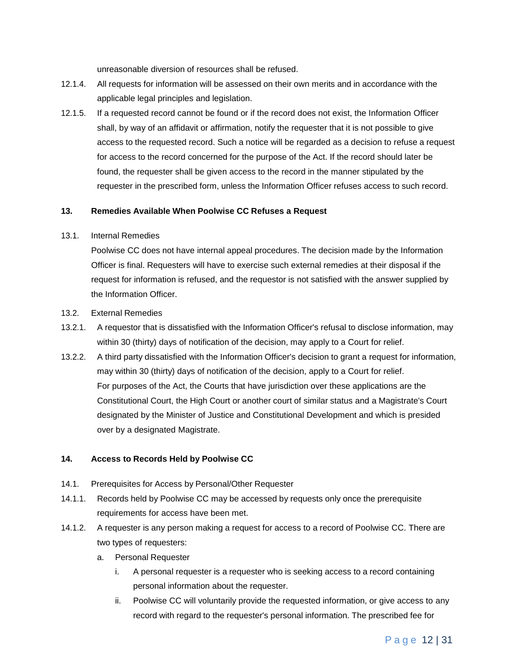unreasonable diversion of resources shall be refused.

- 12.1.4. All requests for information will be assessed on their own merits and in accordance with the applicable legal principles and legislation.
- 12.1.5. If a requested record cannot be found or if the record does not exist, the Information Officer shall, by way of an affidavit or affirmation, notify the requester that it is not possible to give access to the requested record. Such a notice will be regarded as a decision to refuse a request for access to the record concerned for the purpose of the Act. If the record should later be found, the requester shall be given access to the record in the manner stipulated by the requester in the prescribed form, unless the Information Officer refuses access to such record.

#### <span id="page-11-0"></span>**13. Remedies Available When Poolwise CC Refuses a Request**

#### 13.1. Internal Remedies

Poolwise CC does not have internal appeal procedures. The decision made by the Information Officer is final. Requesters will have to exercise such external remedies at their disposal if the request for information is refused, and the requestor is not satisfied with the answer supplied by the Information Officer.

#### 13.2. External Remedies

- 13.2.1. A requestor that is dissatisfied with the Information Officer's refusal to disclose information, may within 30 (thirty) days of notification of the decision, may apply to a Court for relief.
- 13.2.2. A third party dissatisfied with the Information Officer's decision to grant a request for information, may within 30 (thirty) days of notification of the decision, apply to a Court for relief. For purposes of the Act, the Courts that have jurisdiction over these applications are the Constitutional Court, the High Court or another court of similar status and a Magistrate's Court designated by the Minister of Justice and Constitutional Development and which is presided over by a designated Magistrate.

#### <span id="page-11-1"></span>**14. Access to Records Held by Poolwise CC**

- 14.1. Prerequisites for Access by Personal/Other Requester
- 14.1.1. Records held by Poolwise CC may be accessed by requests only once the prerequisite requirements for access have been met.
- 14.1.2. A requester is any person making a request for access to a record of Poolwise CC. There are two types of requesters:
	- a. Personal Requester
		- i. A personal requester is a requester who is seeking access to a record containing personal information about the requester.
		- ii. Poolwise CC will voluntarily provide the requested information, or give access to any record with regard to the requester's personal information. The prescribed fee for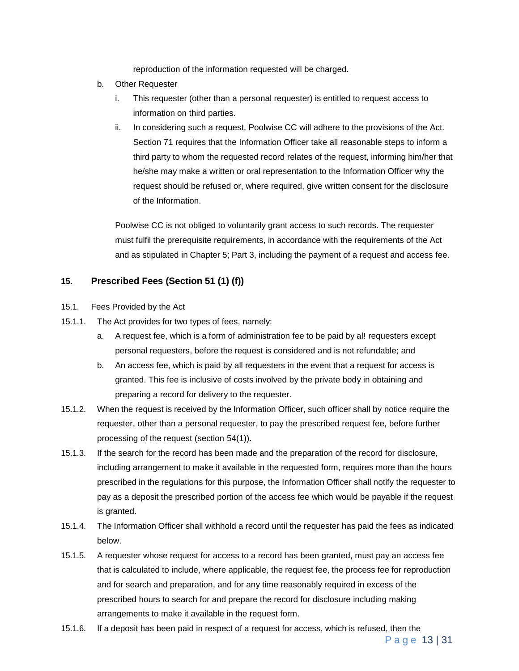reproduction of the information requested will be charged.

- b. Other Requester
	- i. This requester (other than a personal requester) is entitled to request access to information on third parties.
	- ii. In considering such a request, Poolwise CC will adhere to the provisions of the Act. Section 71 requires that the Information Officer take all reasonable steps to inform a third party to whom the requested record relates of the request, informing him/her that he/she may make a written or oral representation to the Information Officer why the request should be refused or, where required, give written consent for the disclosure of the Information.

Poolwise CC is not obliged to voluntarily grant access to such records. The requester must fulfil the prerequisite requirements, in accordance with the requirements of the Act and as stipulated in Chapter 5; Part 3, including the payment of a request and access fee.

#### <span id="page-12-0"></span>**15. Prescribed Fees (Section 51 (1) (f))**

- 15.1. Fees Provided by the Act
- 15.1.1. The Act provides for two types of fees, namely:
	- a. A request fee, which is a form of administration fee to be paid by al! requesters except personal requesters, before the request is considered and is not refundable; and
	- b. An access fee, which is paid by all requesters in the event that a request for access is granted. This fee is inclusive of costs involved by the private body in obtaining and preparing a record for delivery to the requester.
- 15.1.2. When the request is received by the Information Officer, such officer shall by notice require the requester, other than a personal requester, to pay the prescribed request fee, before further processing of the request (section 54(1)).
- 15.1.3. If the search for the record has been made and the preparation of the record for disclosure, including arrangement to make it available in the requested form, requires more than the hours prescribed in the regulations for this purpose, the Information Officer shall notify the requester to pay as a deposit the prescribed portion of the access fee which would be payable if the request is granted.
- 15.1.4. The Information Officer shall withhold a record until the requester has paid the fees as indicated below.
- 15.1.5. A requester whose request for access to a record has been granted, must pay an access fee that is calculated to include, where applicable, the request fee, the process fee for reproduction and for search and preparation, and for any time reasonably required in excess of the prescribed hours to search for and prepare the record for disclosure including making arrangements to make it available in the request form.
- 15.1.6. If a deposit has been paid in respect of a request for access, which is refused, then the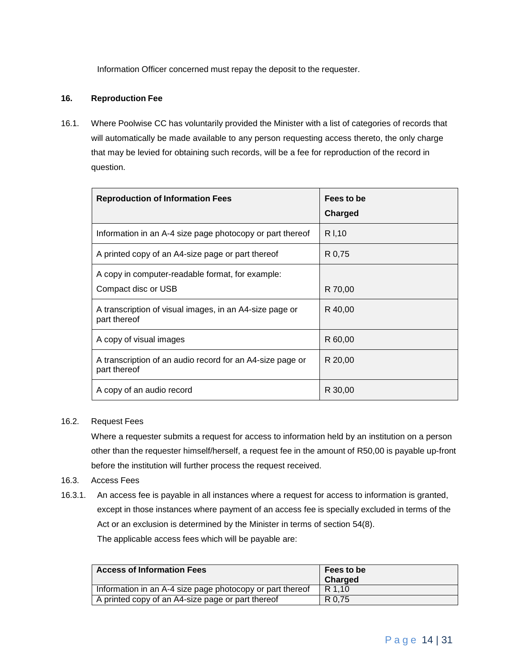Information Officer concerned must repay the deposit to the requester.

#### <span id="page-13-0"></span>**16. Reproduction Fee**

16.1. Where Poolwise CC has voluntarily provided the Minister with a list of categories of records that will automatically be made available to any person requesting access thereto, the only charge that may be levied for obtaining such records, will be a fee for reproduction of the record in question.

| <b>Reproduction of Information Fees</b>                                   | Fees to be<br>Charged |
|---------------------------------------------------------------------------|-----------------------|
| Information in an A-4 size page photocopy or part thereof                 | R I, 10               |
| A printed copy of an A4-size page or part thereof                         | R 0.75                |
| A copy in computer-readable format, for example:<br>Compact disc or USB   | R 70,00               |
| A transcription of visual images, in an A4-size page or<br>part thereof   | R 40,00               |
| A copy of visual images                                                   | R 60,00               |
| A transcription of an audio record for an A4-size page or<br>part thereof | R 20,00               |
| A copy of an audio record                                                 | R 30,00               |

#### 16.2. Request Fees

Where a requester submits a request for access to information held by an institution on a person other than the requester himself/herself, a request fee in the amount of R50,00 is payable up-front before the institution will further process the request received.

#### 16.3. Access Fees

16.3.1. An access fee is payable in all instances where a request for access to information is granted, except in those instances where payment of an access fee is specially excluded in terms of the Act or an exclusion is determined by the Minister in terms of section 54(8). The applicable access fees which will be payable are:

| <b>Access of Information Fees</b>                         | Fees to be<br>Charged |
|-----------------------------------------------------------|-----------------------|
| Information in an A-4 size page photocopy or part thereof | R 1.10                |
| A printed copy of an A4-size page or part thereof         | R 0.75                |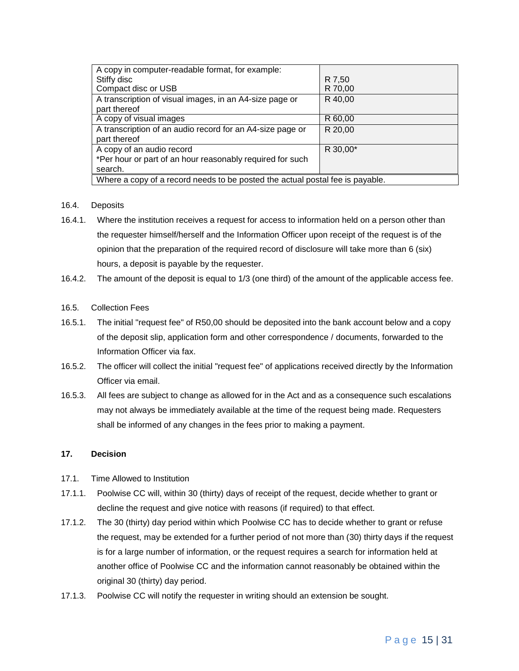| A copy in computer-readable format, for example:                              |          |  |  |  |  |  |  |
|-------------------------------------------------------------------------------|----------|--|--|--|--|--|--|
| Stiffy disc                                                                   | R 7,50   |  |  |  |  |  |  |
| Compact disc or USB                                                           | R 70,00  |  |  |  |  |  |  |
| A transcription of visual images, in an A4-size page or                       | R 40,00  |  |  |  |  |  |  |
| part thereof                                                                  |          |  |  |  |  |  |  |
| A copy of visual images                                                       | R 60,00  |  |  |  |  |  |  |
| A transcription of an audio record for an A4-size page or                     | R 20,00  |  |  |  |  |  |  |
| part thereof                                                                  |          |  |  |  |  |  |  |
| A copy of an audio record                                                     | R 30,00* |  |  |  |  |  |  |
| *Per hour or part of an hour reasonably required for such                     |          |  |  |  |  |  |  |
| search.                                                                       |          |  |  |  |  |  |  |
| Where a copy of a record needs to be posted the actual postal fee is payable. |          |  |  |  |  |  |  |

#### 16.4. Deposits

- 16.4.1. Where the institution receives a request for access to information held on a person other than the requester himself/herself and the Information Officer upon receipt of the request is of the opinion that the preparation of the required record of disclosure will take more than 6 (six) hours, a deposit is payable by the requester.
- 16.4.2. The amount of the deposit is equal to 1/3 (one third) of the amount of the applicable access fee.

#### 16.5. Collection Fees

- 16.5.1. The initial "request fee" of R50,00 should be deposited into the bank account below and a copy of the deposit slip, application form and other correspondence / documents, forwarded to the Information Officer via fax.
- 16.5.2. The officer will collect the initial "request fee" of applications received directly by the Information Officer via email.
- 16.5.3. All fees are subject to change as allowed for in the Act and as a consequence such escalations may not always be immediately available at the time of the request being made. Requesters shall be informed of any changes in the fees prior to making a payment.

#### <span id="page-14-0"></span>**17. Decision**

- 17.1. Time Allowed to Institution
- 17.1.1. Poolwise CC will, within 30 (thirty) days of receipt of the request, decide whether to grant or decline the request and give notice with reasons (if required) to that effect.
- 17.1.2. The 30 (thirty) day period within which Poolwise CC has to decide whether to grant or refuse the request, may be extended for a further period of not more than (30) thirty days if the request is for a large number of information, or the request requires a search for information held at another office of Poolwise CC and the information cannot reasonably be obtained within the original 30 (thirty) day period.
- 17.1.3. Poolwise CC will notify the requester in writing should an extension be sought.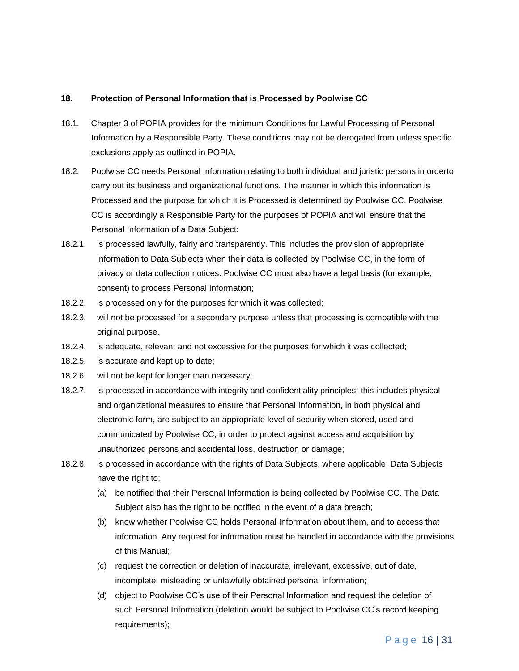#### <span id="page-15-0"></span>**18. Protection of Personal Information that is Processed by Poolwise CC**

- 18.1. Chapter 3 of POPIA provides for the minimum Conditions for Lawful Processing of Personal Information by a Responsible Party. These conditions may not be derogated from unless specific exclusions apply as outlined in POPIA.
- 18.2. Poolwise CC needs Personal Information relating to both individual and juristic persons in orderto carry out its business and organizational functions. The manner in which this information is Processed and the purpose for which it is Processed is determined by Poolwise CC. Poolwise CC is accordingly a Responsible Party for the purposes of POPIA and will ensure that the Personal Information of a Data Subject:
- 18.2.1. is processed lawfully, fairly and transparently. This includes the provision of appropriate information to Data Subjects when their data is collected by Poolwise CC, in the form of privacy or data collection notices. Poolwise CC must also have a legal basis (for example, consent) to process Personal Information;
- 18.2.2. is processed only for the purposes for which it was collected;
- 18.2.3. will not be processed for a secondary purpose unless that processing is compatible with the original purpose.
- 18.2.4. is adequate, relevant and not excessive for the purposes for which it was collected;
- 18.2.5. is accurate and kept up to date;
- 18.2.6. will not be kept for longer than necessary;
- 18.2.7. is processed in accordance with integrity and confidentiality principles; this includes physical and organizational measures to ensure that Personal Information, in both physical and electronic form, are subject to an appropriate level of security when stored, used and communicated by Poolwise CC, in order to protect against access and acquisition by unauthorized persons and accidental loss, destruction or damage;
- 18.2.8. is processed in accordance with the rights of Data Subjects, where applicable. Data Subjects have the right to:
	- (a) be notified that their Personal Information is being collected by Poolwise CC. The Data Subject also has the right to be notified in the event of a data breach;
	- (b) know whether Poolwise CC holds Personal Information about them, and to access that information. Any request for information must be handled in accordance with the provisions of this Manual;
	- (c) request the correction or deletion of inaccurate, irrelevant, excessive, out of date, incomplete, misleading or unlawfully obtained personal information;
	- (d) object to Poolwise CC's use of their Personal Information and request the deletion of such Personal Information (deletion would be subject to Poolwise CC's record keeping requirements);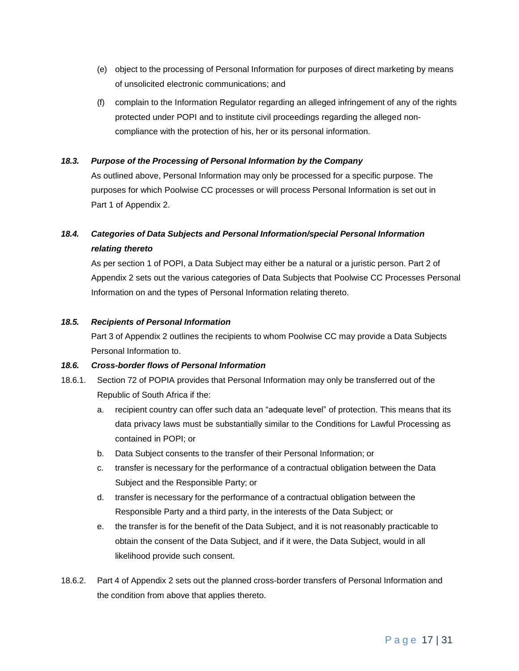- (e) object to the processing of Personal Information for purposes of direct marketing by means of unsolicited electronic communications; and
- (f) complain to the Information Regulator regarding an alleged infringement of any of the rights protected under POPI and to institute civil proceedings regarding the alleged noncompliance with the protection of his, her or its personal information.

#### *18.3. Purpose of the Processing of Personal Information by the Company*

As outlined above, Personal Information may only be processed for a specific purpose. The purposes for which Poolwise CC processes or will process Personal Information is set out in Part 1 of Appendix 2.

## *18.4. Categories of Data Subjects and Personal Information/special Personal Information relating thereto*

As per section 1 of POPI, a Data Subject may either be a natural or a juristic person. Part 2 of Appendix 2 sets out the various categories of Data Subjects that Poolwise CC Processes Personal Information on and the types of Personal Information relating thereto.

#### *18.5. Recipients of Personal Information*

Part 3 of Appendix 2 outlines the recipients to whom Poolwise CC may provide a Data Subjects Personal Information to.

#### *18.6. Cross-border flows of Personal Information*

- 18.6.1. Section 72 of POPIA provides that Personal Information may only be transferred out of the Republic of South Africa if the:
	- a. recipient country can offer such data an "adequate level" of protection. This means that its data privacy laws must be substantially similar to the Conditions for Lawful Processing as contained in POPI; or
	- b. Data Subject consents to the transfer of their Personal Information; or
	- c. transfer is necessary for the performance of a contractual obligation between the Data Subject and the Responsible Party; or
	- d. transfer is necessary for the performance of a contractual obligation between the Responsible Party and a third party, in the interests of the Data Subject; or
	- e. the transfer is for the benefit of the Data Subject, and it is not reasonably practicable to obtain the consent of the Data Subject, and if it were, the Data Subject, would in all likelihood provide such consent.
- 18.6.2. Part 4 of Appendix 2 sets out the planned cross-border transfers of Personal Information and the condition from above that applies thereto.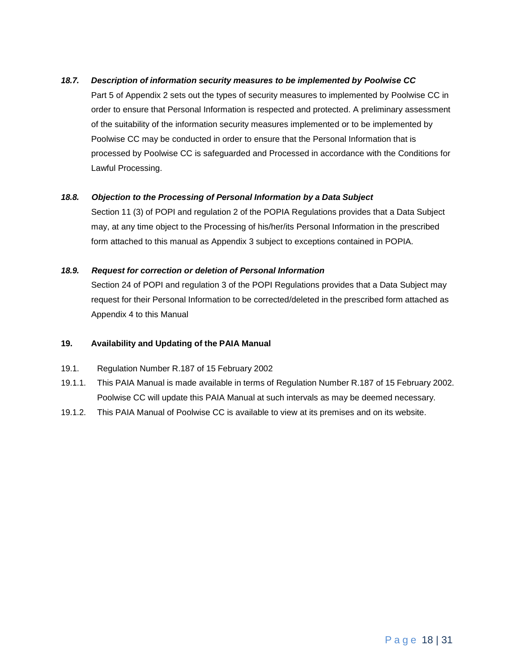#### *18.7. Description of information security measures to be implemented by Poolwise CC*

Part 5 of Appendix 2 sets out the types of security measures to implemented by Poolwise CC in order to ensure that Personal Information is respected and protected. A preliminary assessment of the suitability of the information security measures implemented or to be implemented by Poolwise CC may be conducted in order to ensure that the Personal Information that is processed by Poolwise CC is safeguarded and Processed in accordance with the Conditions for Lawful Processing.

#### *18.8. Objection to the Processing of Personal Information by a Data Subject*

Section 11 (3) of POPI and regulation 2 of the POPIA Regulations provides that a Data Subject may, at any time object to the Processing of his/her/its Personal Information in the prescribed form attached to this manual as Appendix 3 subject to exceptions contained in POPIA.

#### *18.9. Request for correction or deletion of Personal Information*

Section 24 of POPI and regulation 3 of the POPI Regulations provides that a Data Subject may request for their Personal Information to be corrected/deleted in the prescribed form attached as Appendix 4 to this Manual

#### <span id="page-17-0"></span>**19. Availability and Updating of the PAIA Manual**

- 19.1. Regulation Number R.187 of 15 February 2002
- 19.1.1. This PAIA Manual is made available in terms of Regulation Number R.187 of 15 February 2002. Poolwise CC will update this PAIA Manual at such intervals as may be deemed necessary.
- 19.1.2. This PAIA Manual of Poolwise CC is available to view at its premises and on its website.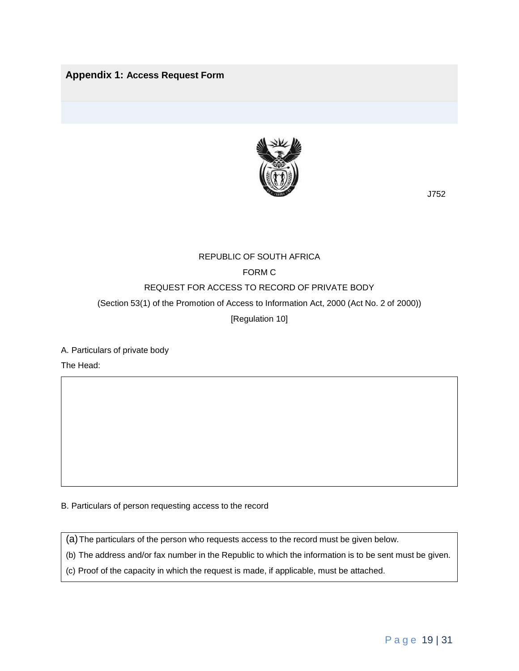### <span id="page-18-0"></span>**Appendix 1: Access Request Form**



J752

## REPUBLIC OF SOUTH AFRICA FORM C REQUEST FOR ACCESS TO RECORD OF PRIVATE BODY (Section 53(1) of the Promotion of Access to Information Act, 2000 (Act No. 2 of 2000)) [Regulation 10]

A. Particulars of private body

The Head:

B. Particulars of person requesting access to the record

(a)The particulars of the person who requests access to the record must be given below.

(b) The address and/or fax number in the Republic to which the information is to be sent must be given.

(c) Proof of the capacity in which the request is made, if applicable, must be attached.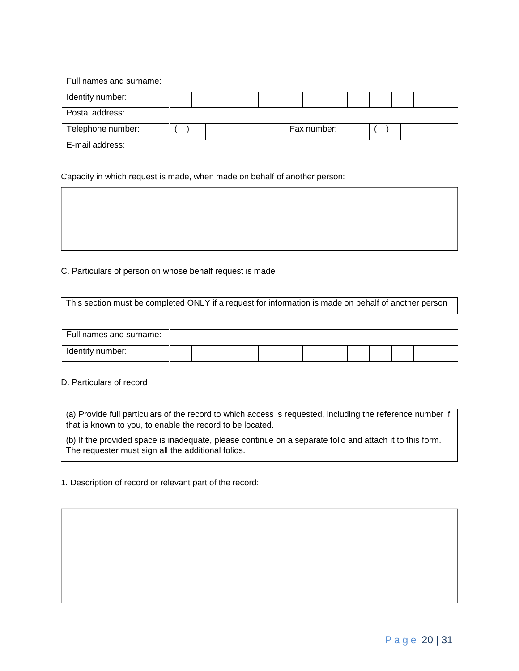| Full names and surname: |  |  |  |             |  |  |  |
|-------------------------|--|--|--|-------------|--|--|--|
| Identity number:        |  |  |  |             |  |  |  |
| Postal address:         |  |  |  |             |  |  |  |
| Telephone number:       |  |  |  | Fax number: |  |  |  |
| E-mail address:         |  |  |  |             |  |  |  |

Capacity in which request is made, when made on behalf of another person:

C. Particulars of person on whose behalf request is made

This section must be completed ONLY if a request for information is made on behalf of another person

| Full names and surname: |  |  |  |  |  |  |  |
|-------------------------|--|--|--|--|--|--|--|
| Identity number:        |  |  |  |  |  |  |  |

D. Particulars of record

(a) Provide full particulars of the record to which access is requested, including the reference number if that is known to you, to enable the record to be located.

(b) If the provided space is inadequate, please continue on a separate folio and attach it to this form. The requester must sign all the additional folios.

1. Description of record or relevant part of the record: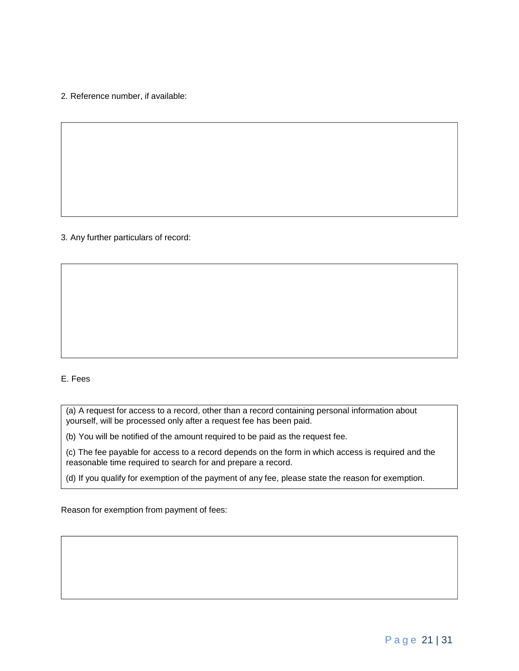2. Reference number, if available:

#### 3. Any further particulars of record:

#### E. Fees

(a) A request for access to a record, other than a record containing personal information about yourself, will be processed only after a request fee has been paid.

(b) You will be notified of the amount required to be paid as the request fee.

(c) The fee payable for access to a record depends on the form in which access is required and the reasonable time required to search for and prepare a record.

(d) If you qualify for exemption of the payment of any fee, please state the reason for exemption.

Reason for exemption from payment of fees: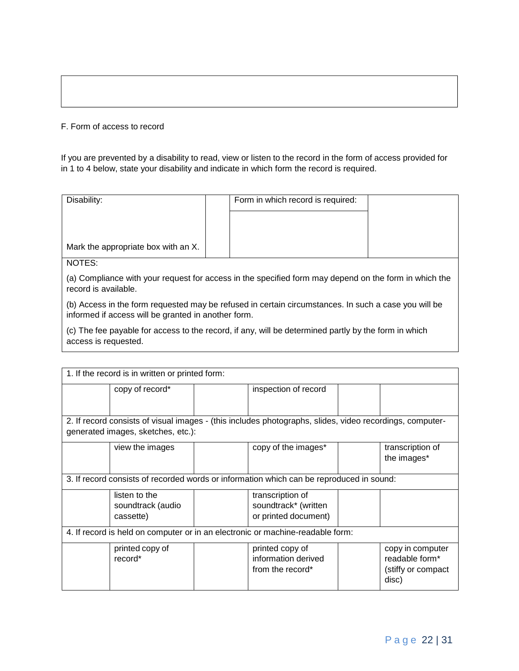#### F. Form of access to record

If you are prevented by a disability to read, view or listen to the record in the form of access provided for in 1 to 4 below, state your disability and indicate in which form the record is required.

| Disability:                                                                                                                   | Form in which record is required: |  |
|-------------------------------------------------------------------------------------------------------------------------------|-----------------------------------|--|
| Mark the appropriate box with an X.                                                                                           |                                   |  |
| NOTES:                                                                                                                        |                                   |  |
| (a) Compliance with your request for access in the specified form may depend on the form in which the<br>record is available. |                                   |  |

(b) Access in the form requested may be refused in certain circumstances. In such a case you will be informed if access will be granted in another form.

(c) The fee payable for access to the record, if any, will be determined partly by the form in which access is requested.

| 1. If the record is in written or printed form:                                          |                                    |  |                                                                                                          |                                 |
|------------------------------------------------------------------------------------------|------------------------------------|--|----------------------------------------------------------------------------------------------------------|---------------------------------|
|                                                                                          | copy of record*                    |  | inspection of record                                                                                     |                                 |
|                                                                                          |                                    |  |                                                                                                          |                                 |
|                                                                                          |                                    |  | 2. If record consists of visual images - (this includes photographs, slides, video recordings, computer- |                                 |
|                                                                                          | generated images, sketches, etc.): |  |                                                                                                          |                                 |
|                                                                                          | view the images                    |  | copy of the images*                                                                                      | transcription of<br>the images* |
| 3. If record consists of recorded words or information which can be reproduced in sound: |                                    |  |                                                                                                          |                                 |
|                                                                                          | listen to the                      |  | transcription of                                                                                         |                                 |
|                                                                                          | soundtrack (audio                  |  | soundtrack* (written                                                                                     |                                 |
|                                                                                          | cassette)                          |  | or printed document)                                                                                     |                                 |
| 4. If record is held on computer or in an electronic or machine-readable form:           |                                    |  |                                                                                                          |                                 |
|                                                                                          | printed copy of                    |  | printed copy of                                                                                          | copy in computer                |
|                                                                                          | record*                            |  | information derived                                                                                      | readable form*                  |
|                                                                                          |                                    |  | from the record*                                                                                         | (stiffy or compact)<br>disc)    |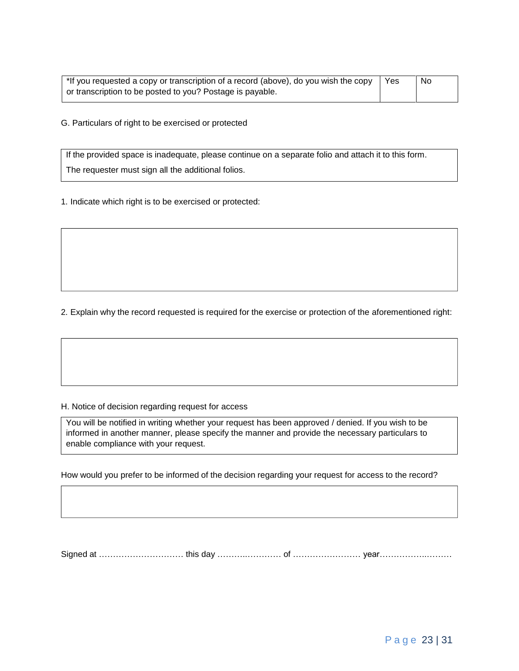| *If you requested a copy or transcription of a record (above), do you wish the copy | Yes | No |
|-------------------------------------------------------------------------------------|-----|----|
| or transcription to be posted to you? Postage is payable.                           |     |    |

G. Particulars of right to be exercised or protected

If the provided space is inadequate, please continue on a separate folio and attach it to this form. The requester must sign all the additional folios.

1. Indicate which right is to be exercised or protected:

2. Explain why the record requested is required for the exercise or protection of the aforementioned right:

#### H. Notice of decision regarding request for access

You will be notified in writing whether your request has been approved / denied. If you wish to be informed in another manner, please specify the manner and provide the necessary particulars to enable compliance with your request.

How would you prefer to be informed of the decision regarding your request for access to the record?

Signed at ………………………… this day ………..………… of …………………… year……………..………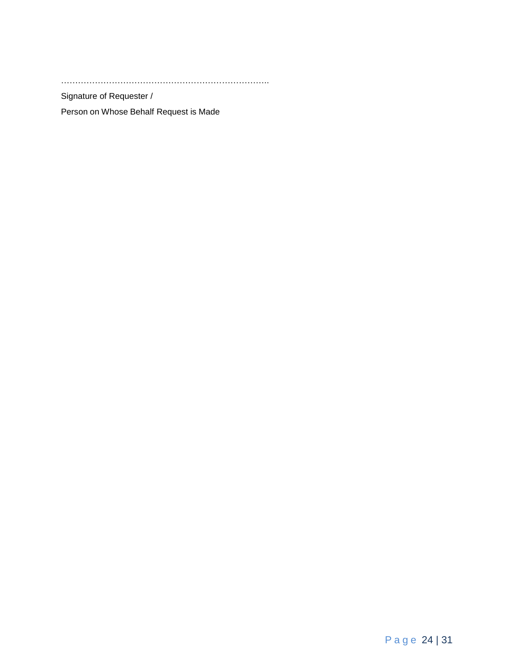………………………………………………………………..

Signature of Requester /

Person on Whose Behalf Request is Made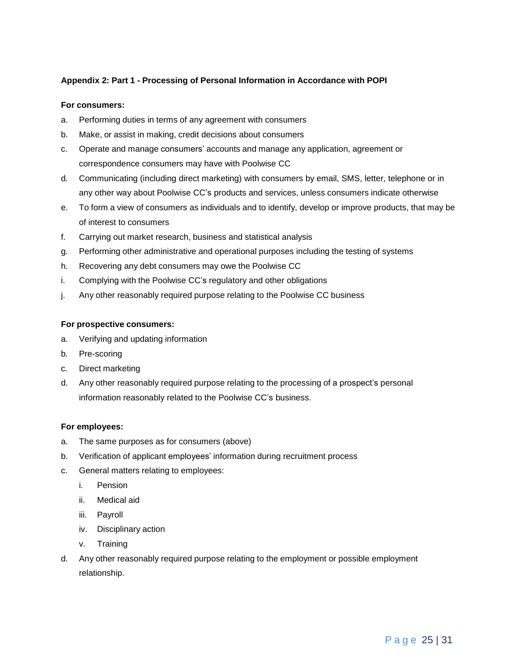#### <span id="page-24-0"></span>**Appendix 2: Part 1 - Processing of Personal Information in Accordance with POPI**

#### **For consumers:**

- a. Performing duties in terms of any agreement with consumers
- b. Make, or assist in making, credit decisions about consumers
- c. Operate and manage consumers' accounts and manage any application, agreement or correspondence consumers may have with Poolwise CC
- d. Communicating (including direct marketing) with consumers by email, SMS, letter, telephone or in any other way about Poolwise CC's products and services, unless consumers indicate otherwise
- e. To form a view of consumers as individuals and to identify, develop or improve products, that may be of interest to consumers
- f. Carrying out market research, business and statistical analysis
- g. Performing other administrative and operational purposes including the testing of systems
- h. Recovering any debt consumers may owe the Poolwise CC
- i. Complying with the Poolwise CC's regulatory and other obligations
- j. Any other reasonably required purpose relating to the Poolwise CC business

#### **For prospective consumers:**

- a. Verifying and updating information
- b. Pre-scoring
- c. Direct marketing
- d. Any other reasonably required purpose relating to the processing of a prospect's personal information reasonably related to the Poolwise CC's business.

#### **For employees:**

- a. The same purposes as for consumers (above)
- b. Verification of applicant employees' information during recruitment process
- c. General matters relating to employees:
	- i. Pension
	- ii. Medical aid
	- iii. Payroll
	- iv. Disciplinary action
	- v. Training
- d. Any other reasonably required purpose relating to the employment or possible employment relationship.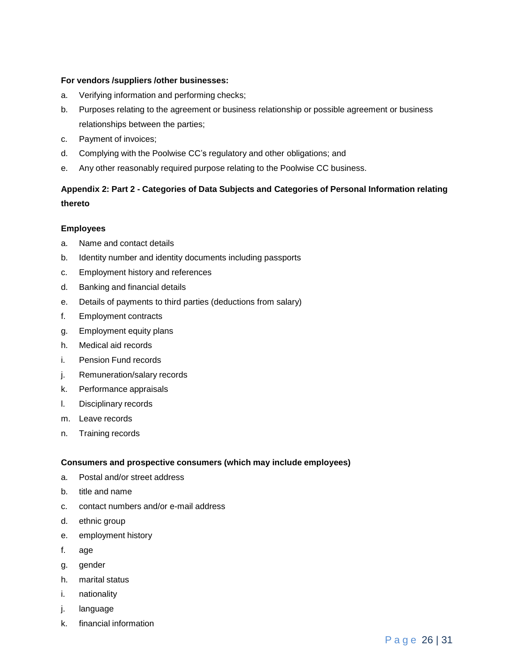#### **For vendors /suppliers /other businesses:**

- a. Verifying information and performing checks;
- b. Purposes relating to the agreement or business relationship or possible agreement or business relationships between the parties;
- c. Payment of invoices;
- d. Complying with the Poolwise CC's regulatory and other obligations; and
- e. Any other reasonably required purpose relating to the Poolwise CC business.

## <span id="page-25-0"></span>**Appendix 2: Part 2 - Categories of Data Subjects and Categories of Personal Information relating thereto**

#### **Employees**

- a. Name and contact details
- b. Identity number and identity documents including passports
- c. Employment history and references
- d. Banking and financial details
- e. Details of payments to third parties (deductions from salary)
- f. Employment contracts
- g. Employment equity plans
- h. Medical aid records
- i. Pension Fund records
- j. Remuneration/salary records
- k. Performance appraisals
- l. Disciplinary records
- m. Leave records
- n. Training records

### **Consumers and prospective consumers (which may include employees)**

- a. Postal and/or street address
- b. title and name
- c. contact numbers and/or e-mail address
- d. ethnic group
- e. employment history
- f. age
- g. gender
- h. marital status
- i. nationality
- j. language
- k. financial information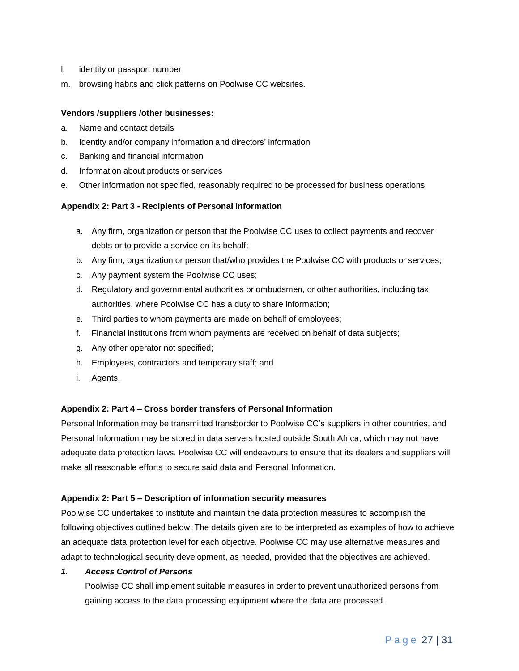- l. identity or passport number
- m. browsing habits and click patterns on Poolwise CC websites.

#### **Vendors /suppliers /other businesses:**

- a. Name and contact details
- b. Identity and/or company information and directors' information
- c. Banking and financial information
- d. Information about products or services
- e. Other information not specified, reasonably required to be processed for business operations

#### <span id="page-26-0"></span>**Appendix 2: Part 3 - Recipients of Personal Information**

- a. Any firm, organization or person that the Poolwise CC uses to collect payments and recover debts or to provide a service on its behalf;
- b. Any firm, organization or person that/who provides the Poolwise CC with products or services;
- c. Any payment system the Poolwise CC uses;
- d. Regulatory and governmental authorities or ombudsmen, or other authorities, including tax authorities, where Poolwise CC has a duty to share information;
- e. Third parties to whom payments are made on behalf of employees;
- f. Financial institutions from whom payments are received on behalf of data subjects;
- g. Any other operator not specified;
- h. Employees, contractors and temporary staff; and
- i. Agents.

#### <span id="page-26-1"></span>**Appendix 2: Part 4 – Cross border transfers of Personal Information**

Personal Information may be transmitted transborder to Poolwise CC's suppliers in other countries, and Personal Information may be stored in data servers hosted outside South Africa, which may not have adequate data protection laws. Poolwise CC will endeavours to ensure that its dealers and suppliers will make all reasonable efforts to secure said data and Personal Information.

#### <span id="page-26-2"></span>**Appendix 2: Part 5 – Description of information security measures**

Poolwise CC undertakes to institute and maintain the data protection measures to accomplish the following objectives outlined below. The details given are to be interpreted as examples of how to achieve an adequate data protection level for each objective. Poolwise CC may use alternative measures and adapt to technological security development, as needed, provided that the objectives are achieved.

#### *1. Access Control of Persons*

Poolwise CC shall implement suitable measures in order to prevent unauthorized persons from gaining access to the data processing equipment where the data are processed.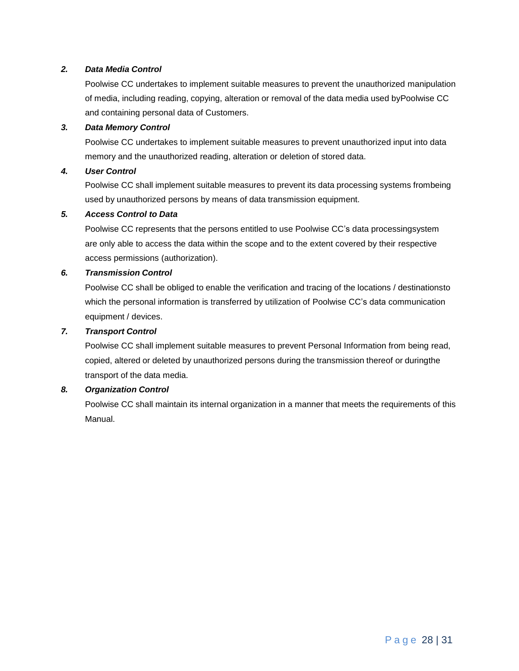#### *2. Data Media Control*

Poolwise CC undertakes to implement suitable measures to prevent the unauthorized manipulation of media, including reading, copying, alteration or removal of the data media used byPoolwise CC and containing personal data of Customers.

#### *3. Data Memory Control*

Poolwise CC undertakes to implement suitable measures to prevent unauthorized input into data memory and the unauthorized reading, alteration or deletion of stored data.

#### *4. User Control*

Poolwise CC shall implement suitable measures to prevent its data processing systems frombeing used by unauthorized persons by means of data transmission equipment.

#### *5. Access Control to Data*

Poolwise CC represents that the persons entitled to use Poolwise CC's data processingsystem are only able to access the data within the scope and to the extent covered by their respective access permissions (authorization).

#### *6. Transmission Control*

Poolwise CC shall be obliged to enable the verification and tracing of the locations / destinationsto which the personal information is transferred by utilization of Poolwise CC's data communication equipment / devices.

#### *7. Transport Control*

Poolwise CC shall implement suitable measures to prevent Personal Information from being read, copied, altered or deleted by unauthorized persons during the transmission thereof or duringthe transport of the data media.

#### *8. Organization Control*

Poolwise CC shall maintain its internal organization in a manner that meets the requirements of this Manual.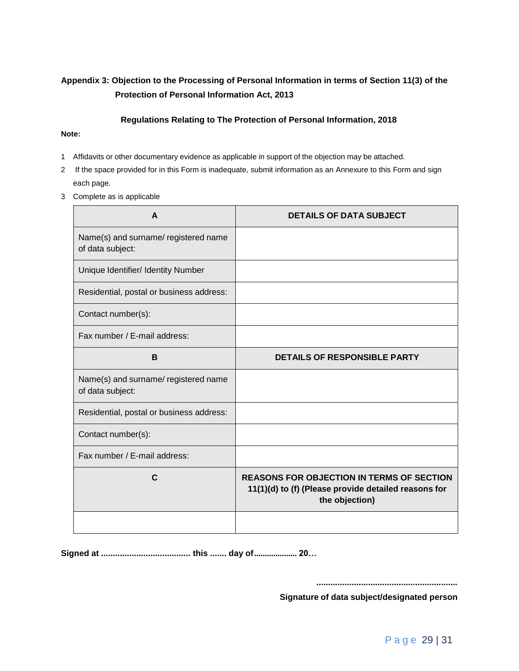## <span id="page-28-0"></span>**Appendix 3: Objection to the Processing of Personal Information in terms of Section 11(3) of the Protection of Personal Information Act, 2013**

#### **Regulations Relating to The Protection of Personal Information, 2018**

#### **Note:**

- 1 Affidavits or other documentary evidence as applicable in support of the objection may be attached.
- 2 If the space provided for in this Form is inadequate, submit information as an Annexure to this Form and sign each page.
- 3 Complete as is applicable

| A                                                        | <b>DETAILS OF DATA SUBJECT</b>                                                                                             |
|----------------------------------------------------------|----------------------------------------------------------------------------------------------------------------------------|
| Name(s) and surname/ registered name<br>of data subject: |                                                                                                                            |
| Unique Identifier/ Identity Number                       |                                                                                                                            |
| Residential, postal or business address:                 |                                                                                                                            |
| Contact number(s):                                       |                                                                                                                            |
| Fax number / E-mail address:                             |                                                                                                                            |
| B                                                        | <b>DETAILS OF RESPONSIBLE PARTY</b>                                                                                        |
| Name(s) and surname/ registered name<br>of data subject: |                                                                                                                            |
| Residential, postal or business address:                 |                                                                                                                            |
| Contact number(s):                                       |                                                                                                                            |
| Fax number / E-mail address:                             |                                                                                                                            |
| C                                                        | <b>REASONS FOR OBJECTION IN TERMS OF SECTION</b><br>11(1)(d) to (f) (Please provide detailed reasons for<br>the objection) |
|                                                          |                                                                                                                            |

**Signed at ...................................... this ....... day of.................... 20…**

**............................................................**

**Signature of data subject/designated person**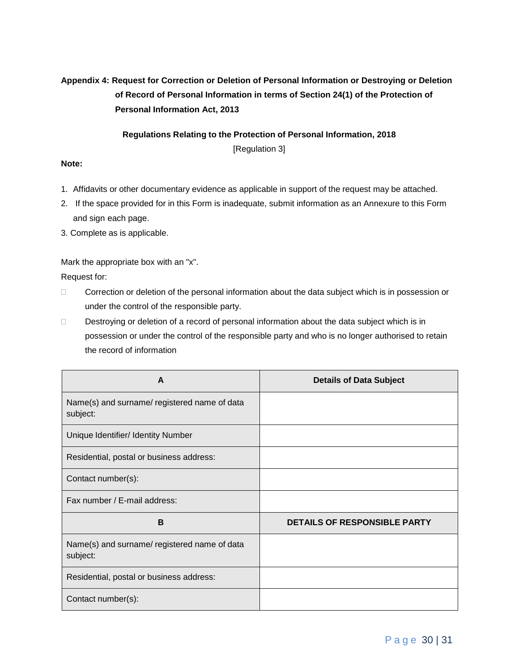## <span id="page-29-0"></span>**Appendix 4: Request for Correction or Deletion of Personal Information or Destroying or Deletion of Record of Personal Information in terms of Section 24(1) of the Protection of Personal Information Act, 2013**

**Regulations Relating to the Protection of Personal Information, 2018**

[Regulation 3]

#### **Note:**

- 1. Affidavits or other documentary evidence as applicable in support of the request may be attached.
- 2. If the space provided for in this Form is inadequate, submit information as an Annexure to this Form and sign each page.
- 3. Complete as is applicable.

Mark the appropriate box with an "x".

Request for:

- □ Correction or deletion of the personal information about the data subject which is in possession or under the control of the responsible party.
- Destroying or deletion of a record of personal information about the data subject which is in possession or under the control of the responsible party and who is no longer authorised to retain the record of information

| A                                                        | <b>Details of Data Subject</b>      |
|----------------------------------------------------------|-------------------------------------|
| Name(s) and surname/registered name of data<br>subject:  |                                     |
| Unique Identifier/ Identity Number                       |                                     |
| Residential, postal or business address:                 |                                     |
| Contact number(s):                                       |                                     |
| Fax number / E-mail address:                             |                                     |
| B                                                        | <b>DETAILS OF RESPONSIBLE PARTY</b> |
| Name(s) and surname/ registered name of data<br>subject: |                                     |
| Residential, postal or business address:                 |                                     |
| Contact number(s):                                       |                                     |